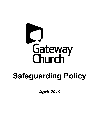

# **Safeguarding Policy**

*April 2019*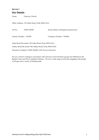# **Our Details**

Name: Gateway Church

Office Address: 133 Alder Road, Poole, BH12 4AA

Tel No: 01202 746938 Email address: info@gatewaychurch.me

Charity Number: 1135330 Company Number: 7189544

Alder Road Site meets: 129 Alder Road, Poole, BH12 4AA Ashley Road Site meets: 502 Ashley Road, Poole, BH14 0AD Insurance Company: Public liability with Ansvar Insurance

We are a church working in association with Advance (a Newfrontiers group) and affiliated to the Baptist Union and The Evangelical Alliance. We run a wide range of activities engaging with people of all ages and a variety of backgrounds.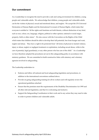## **Our commitment**

As a Leadership we recognise the need to provide a safe and caring environment for children, young people and vulnerable adults. We acknowledge that children, young people and vulnerable adults can be the victims of physical, sexual and emotional abuse, and neglect. We accept the UN Universal Declaration of Human Rights and the International Covenant of Human Rights, which states that everyone is entitled to "all the rights and freedoms set forth therein, without distinction of any kind, such as race, colour, sex, language, religion, political or other opinion, national or social origin, property, birth or other status". We also concur with the Convention on the Rights of the Child which states that children should be able to develop their full potential, free from hunger and want, neglect and abuse. They have a right to be protected from "all forms of physical or mental violence, injury or abuse, neglect or negligent treatment or exploitation, including sexual abuse, while in the care of parent(s), legal guardian(s), or any other person who has care of the child." As a Leadership we have therefore adopted the procedures set out in this safeguarding policy in accordance with statutory guidance. We are committed to build constructive links with statutory and voluntary agencies involved in safeguarding.

The Leadership undertakes to:

- Endorse and follow all national and local safeguarding legislation and procedures, in addition to the international conventions outlined above.
- Provide on-going safeguarding training for all its workers and will regularly review the operational guidelines attached.
- Ensure that the premises meet the requirements of the Disability Discrimination Act 1995 and all other relevant legislation, and that it is welcoming and inclusive.
- Support the Safeguarding Coordinators in their work and in any action they may need to take in order to protect children and vulnerable adults.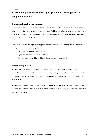# **Recognising and responding appropriately to an allegation or suspicion of abuse**

#### **Understanding abuse and neglect**

Defining child abuse or abuse against an adult at risk is a difficult and complex issue. A person may abuse by inflicting harm, or failing to prevent harm. Children and adults in need of protection may be abused within a family, an institution or a community setting. Very often the abuser is known or in a trusted relationship with the child or adult at risk.

Detailed definitions, and signs and symptoms of abuse, as well as how to respond to a disclosure of abuse, are included here in our policy.

Definitions of abuse – Appendix 1 & 2 Signs and symptoms of abuse – Appendix 3 How to respond to a child wishing to disclose abuse – Appendix 4

#### **Safeguarding awareness**

The Leadership is committed to on-going safeguarding training and development opportunities for all workers, developing a culture of awareness of safeguarding issues to help protect everyone. All our workers will receive induction training and undertake recognised safeguarding training on a regular basis.

The Leadership will also ensure that children and adults at risk are provided with information on where to get help and advice in relation to abuse, discrimination, bullying or any other matter where they have a concern.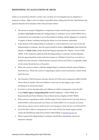#### **RESPONDING TO ALLEGATIONS OF ABUSE**

Under no circumstances should a worker carry out their own investigation into an allegation or suspicion of abuse. Make a note of evidence of possible abuse, stating only the facts. Speculations and opinions should not be included. Follow the procedures below:

- The person in receipt of allegations or suspicions of abuse should report concerns as soon as possible to **Jon Clark** (hereafter the "Safeguarding Co-ordinator") tel no: 01202 746938 who is nominated by the Leadership to act on their behalf in dealing with the allegation or suspicion of neglect or abuse, including referring the matter on to the statutory authorities.
- In the absence of the Safeguarding Co-ordinator or, if the suspicions in any way involve the Safeguarding Co-ordinator, then the report should be made to **Julie Barnett** (Alder Road Site Deputy) or **Sandy Carter** (Ashley Road Site Deputy) (hereafter the "Deputy ") tel no: 01202 746938. If the suspicions implicate both the Safeguarding Co-ordinator and the Deputies, then the report should be made in the first instance to Children's Social Care or if advice is needed from the Churches' Child Protection Advisory Service (CCPAS) or if regarding adults at risk contact Social Services or the police.
- Where the concern is about a child the Safeguarding Co-ordinator should contact Children's Social Services. Where the concern is regarding an adult in need of protection, contact Adult Social Services.
- The Churches' Child Protection Advisory Service (CCPAS) can be contacted on 0845 120 4550 where advice is needed. The local children's social care are also happy to give advice including on an anonymous basis.
- If you have a concern about the safety and wellbeing of a child or young person, contact the BCP Council **Multi Agency Safeguarding Hub** (MASH) Telephone – 01202 735046. (For Bournemouth and Poole Children's Out of Hours Service, telephone 01202 738256)
- If the concern is regarding an adult, call: Borough of Poole Adult Social Care help desk on 01202 633902 or Bournemouth Care Direct on 01202 454979. If it is outside of normal office hours, please call the Adult Social Care Emergency Duty Service on 01202 657279.
- If you feel that a child or young person is not at risk of harm, but needs support, please contact the EHAP(Early Help advice Point): 01202 262626 or ehap@poole.gov.uk
- Where required the Safeguarding Co-ordinator should then immediately inform the insurance company.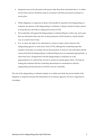- Suspicions must not be discussed with anyone other than those nominated above. A written record of the concerns should be made in accordance with these procedures and kept in a secure place.
- Whilst allegations or suspicions of abuse will normally be reported to the Safeguarding Coordinator, the absence of the Safeguarding Co-ordinator or Deputy should not delay referral to Social Services, the Police or taking advice from CCPAS.
- The Leadership will support the Safeguarding Co-ordinator/Deputy in their role, and accept that any information they may have in their possession will be shared in a strictly limited way on a need to know basis.
- It is, of course, the right of any individual as a citizen to make a direct referral to the safeguarding agencies or seek advice from CCPAS, although the Leadership hope that members of the place of worship will use this procedure. If, however, the individual with the concern feels that the Safeguarding Co-ordinator/Deputy has not responded appropriately, or where they have a disagreement with the Safeguarding Co-ordinators as to the appropriateness of a referral they are free to contact an outside agency direct. We hope by making this statement that the Leadership demonstrate its commitment to effective safeguarding and the protection of all those who are vulnerable.

The role of the safeguarding co-ordinator/ deputy is to collate and clarify the precise details of the allegation or suspicion and pass this information on to statutory agencies who have a legal duty to investigate.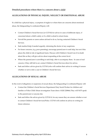### **Detailed procedures where there is a concern about a** *child***:**

#### **ALLEGATIONS OF PHYSICAL INJURY, NEGLECT OR EMOTIONAL ABUSE**

If a child has a physical injury, a symptom of neglect or where there are concerns about emotional abuse, the Safeguarding Co-ordinator/Deputy will:

- Contact Children's Social Services (or CCPAS) for advice in cases of deliberate injury, if concerned about a child's safety or if a child is afraid to return home.
- Not tell the parents or carers unless advised to do so, having contacted Children's Social Services.
- Seek medical help if needed urgently, informing the doctor of any suspicions.
- For lesser concerns, (e.g. poor parenting), encourage parent/carer to seek help, but not if this places the child at risk of significant harm. Discuss with Children's Social Care if in doubt about this as they will give advice about responding at the correct level.
- Where the parent/carer is unwilling to seek help, offer to accompany them. In cases of real concern, if they still fail to act, contact Children's Social Services direct for advice.
- Seek and follow advice given by CCPAS (who will confirm their advice in writing) if unsure whether or not to refer a case to Children's Social Services.

#### **ALLEGATIONS OF SEXUAL ABUSE**

In the event of allegations or suspicions of sexual abuse, the Safeguarding Co-ordinator/Deputy will:

- Contact the Children's Social Services Department Duty Social Worker for children and families or Police Child Abuse investigation Team direct. 01202 228866) They will NOT speak to the parent/carer or anyone else.
- Seek and follow the advice given by CCPAS if, for any reason they are unsure whether or not to contact Children's Social Services/Police. CCPAS will confirm its advice in writing for future reference.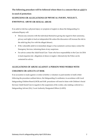# **The following procedure will be followed where there is a concern that an** *adult* **is in need of protection: SUSPICIONS OR ALLEGATIONS OF PHYSICAL INJURY, NEGLECT, EMOTIONAL ABUSE OR SEXUAL ABUSE**

If an adult at risk has a physical injury or symptom of neglect or abuse the Safeguarding Coordinator/Deputy will:

- Discuss any concerns with the individual themselves giving due regard to their autonomy, privacy and rights to lead an independent life unless this discussion will increase the risk to the adult (eg they live with the alleged abuser).
- If the vulnerable adult is in immediate danger or has sustained a serious injury contact the Emergency Services, informing them of any suspicions.
- For advice contact the Adult Social Care Team who have responsibility to the Care Act 2014 to lead enquiries into allegations of abuse or neglect. Alternatively the Police can be contacted for advice.

# **ALLEGATIONS OF ABUSE AGAINST A PERSON WHO WORKS WITH CHILDREN OR ADULTS AT RISK**

If an accusation is made against a worker (whether a volunteer or paid member of staff) whilst following the procedure outlined above, the Safeguarding Co-ordinator, in accordance with Local Safeguarding Children Board (LSCB) and SAB procedures will need to liaise with Children's Social Services/ Adult Social Care in regards to the suspension of the worker, also making a referral to a Safeguarding Adviser (SA) / Local Authority Designated Officer (LADO).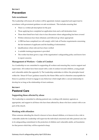# **Prevention**

#### **Safe recruitment**

The Leadership will ensure all workers will be appointed, trained, supported and supervised in accordance with government guidance on safe recruitment. This includes ensuring that:

- There is a written job description for the post
- Those applying have completed an application form and a self declaration form
- Those short listed have had a face to face discussion where safeguarding has been covered
- Written references have been obtained, and followed up where appropriate
- A DBS has been completed (we will comply with Code of Practice requirements concerning the fair treatment of applicants and the handling of information)
- Qualifications where relevant have been verified
- A suitable training programme is provided
- The worker has been given a copy of the organisation's safeguarding policy and knows how to report concerns.

#### **Management of Workers – Codes of Conduct**

As a Leadership we are committed to supporting all workers and ensuring they receive support and supervision. All workers have been issued with a code of conduct towards children, young people and vulnerable adults (See appendix 5). The Leadership undertakes to follow the principles found within the 'Abuse Of Trust 'guidance issued by the Home Office and it is therefore unacceptable for those in a position of trust to engage in any behaviour which might allow a sexual relationship to develop for as long as the relationship of trust continues.

#### **SECTION 4**

# **Pastoral Care**

#### **Supporting those affected by abuse**

The Leadership is committed to offering pastoral care, working with statutory agencies as appropriate, and support to all those who have been affected by abuse who have contact with or are part of the church.

#### **Working with offenders**

When someone attending the church is known to have abused children, or is known to be a risk to vulnerable adults the Leadership will supervise the individual concerned and offer pastoral care, but in its safeguarding commitment to the protection of children and vulnerable adults, set boundaries for that person which they will be expected to keep.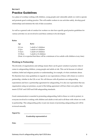# **Practice Guidelines**

As a place of worship working with children, young people and vulnerable adults we wish to operate and promote good working practice. This will enable workers to run activities safely, develop good relationships and minimise the risk of false accusation.

As well as a general code of conduct for workers we also have specific good practice guidelines for various activities we are involved in and these continue to be developed.

#### **Ratios**

| Age         | Ratio                                                                                       |
|-------------|---------------------------------------------------------------------------------------------|
| $0-2$ yrs   | 1 adult to 3 children                                                                       |
| $2-3yrs$    | 1 adult to 4 children                                                                       |
| $3-12$ yrs  | 1 adult to 8 children                                                                       |
| $13-18$ yrs | 1 adult to 12 children                                                                      |
|             | (Note: it is expected that there will be a minimum of two adults with children at any time) |

#### **Working in Partnership**

The diversity of organisations and settings means there can be great variation in practice when it comes to safeguarding children, young people and adults at risk. This can be because of cultural tradition, belief and religious practice or understanding, for example, of what constitutes abuse. We therefore have clear guidelines in regards to our expectations of those with whom we work in partnership, whether in the UK or not. We will discuss with all partners our safeguarding expectations and have a partnership agreement for safeguarding. It is also our expectation that any organisation using our premises, as part of the letting agreement will have their own policy that meets CCPAS' and LSCB and SAB safeguarding standards.

Good communication is essential in promoting safeguarding, both to those we wish to protect, to everyone involved in working with children and adults at risk and to all those with whom we work in partnership. This safeguarding policy is just one means of promoting safeguarding and will be reviewed annually

Signed by:

 **(Leadership representative)**

**Date: \_\_\_\_\_\_\_\_\_\_\_\_\_\_\_\_\_\_\_\_\_\_\_\_\_\_\_\_\_\_\_\_**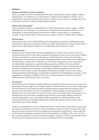#### **Statutory Definitions of Abuse (Children)**

Abuse and neglect are forms of maltreatment of a child. Somebody may abuse or neglect a child by inflicting harm, or by failing to act to prevent harm. Children may be abused in a family or in an institutional or community setting; by those known to them or, more rarely, by a stranger. They may be abused by an adult or adults or another child or children.

#### **What is abuse and neglect?**

Abuse and neglect are forms of maltreatment of a child. Somebody may abuse or neglect a child by inflicting harm, or by failing to act to prevent harm. Children may be abused in a family or in an institutional or community setting, by those known to them or, more rarely, by a stranger for example, via the internet. They may be abused by an adult or adults, or another child or children.

#### **Physical abuse**

Physical abuse may involve hitting, shaking, throwing, poisoning, burning or scalding, drowning, suffocating, or otherwise causing physical harm to a child. Physical harm may also be caused when a parent or carer fabricates the symptoms of, or deliberately induces, illness in a child.

#### **Emotional abuse**

Emotional abuse is the persistent emotional maltreatment of a child such as to cause severe and persistent adverse effects on the child's emotional development. It may involve conveying to children that they are worthless or unloved, inadequate, or valued only insofar as they meet the needs of another person. It may include not giving the child opportunities to express their views, deliberately silencing them or 'making fun' of what they say or how they communicate. It may feature age or developmentally inappropriate expectations being imposed on children. These may include interactions that are beyond the child's developmental capability, as well as overprotection and limitation of exploration and learning, or preventing the child participating in normal social interaction. It may involve seeing or hearing the ill-treatment of another. It may involve serious bullying (including cyberbullying), causing children frequently to feel frightened or in danger, or the exploitation or corruption of children. Some level of emotional abuse is involved in all types of maltreatment of a child, though it may occur alone.

#### **Sexual abuse**

Sexual abuse involves forcing or enticing a child or young person to take part in sexual activities, not necessarily involving a high level of violence, whether or not the child is aware of what is happening. The activities may involve physical contact, including assault by penetration (for example, rape or oral sex) or non-penetrative acts such as masturbation, kissing, rubbing and touching outside of clothing. They may also include non-contact activities, such as involving children in looking at, or in the production of, sexual images, watching sexual activities, encouraging children to behave in sexually inappropriate ways, or grooming a child in preparation for abuse (including via the internet). Sexual abuse is not solely perpetrated by adult males. Women can also commit acts of sexual abuse, as can other children.

Child sexual exploitation is a form of child sexual abuse. It occurs where an individual or group takes advantage of an imbalance of power to coerce, manipulate or deceive a child or young person under the age of 18 into sexual activity (a) in exchange for something the victim needs or wants, and/or (b) for the financial advantage or increased status of the perpetrator or facilitator. The victim may have been sexually exploited even if the sexual activity appears consensual. Child sexual exploitation does not always involve physical contact; it can also occur through the use of technology.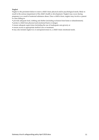#### **Neglect**

Neglect is the persistent failure to meet a child's basic physical and/or psychological needs, likely to result in the serious impairment of the child's health or development. Neglect may occur during pregnancy as a result of maternal substance abuse. Once a child is born, neglect may involve a parent or carer failing to:

- provide adequate food, clothing and shelter (including exclusion from home or abandonment);
- protect a child from physical and emotional harm or danger;
- ensure adequate supervision (including the use of inadequate care-givers); or
- ensure access to appropriate medical care or treatment.

It may also include neglect of, or unresponsiveness to, a child's basic emotional needs.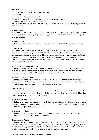#### **Statutory Definitions of Abuse for adults at risk**

Care Act 2014 Safeguarding duties apply to an adult who Has needs for care and support (whether or not those needs are being met) Is experiencing or at risk of abuse or neglect and As a result of those needs is unable to protect themselves from either the risk of or the experience of abuse or neglect.

#### **Physical Abuse**

This is the infliction of pain or physical injury, which is either caused deliberately, or through lack of care. Including assault, hitting, slapping. Pushing, misuse of medication, restraint or inappropriate physical sanctions

#### **Domestic abuse**

Including psychological, physical, sexual, financial,, emotional abuse and honour based violence

#### **Sexual Abuse**

This is the involvement in sexual activities to which the person has not consented or does not truly comprehend and so cannot give informed consent, or where the other party is in a position of trust, power or authority and uses this to override or overcome lack of consent. Including rape, indecent exposure, inappropriate touching or looking, sexual teasing or innuendo, sexual photography subjection to pornography, or witnessing sexual acts or sexual acts which the adult has not consented or was pressured into consenting.

#### **Psychological or Emotional Abuse**

Including emotional abuse, threats of harm or abandonment, deprivation of contact, humiliation, blaming, controlling, intimidation, coercion, harassment, verbal abuse, cyber bullying, isolation or unreasonable and unjustified withdrawal of services or supportive networks. .

#### **Financial or Material Abuse**

Including theft, fraud, internet scamming, coercion in relation to an adult's financial affairs or arrangements, including in connection with wills, property, inheritance or financial transactions, or the misuse or misappropriation of property, possessions or benefits.

#### **Modern slavery**

Encompasses slavery, human trafficking, forced labour and domestic servitude. Traffickers and slave masters use whatever means they have at their disposal to coerce, deceive, and force individuals into a life of abuse, servitude and inhumane treatment.

#### **Neglect or Act of Omission**

including ignoring medical, emotional or physical care needs, failure to provide access to appropriate health, care and support or educational services, the withholding of the necessities of life, such as medication, adequate nutrition and heating.

#### **Discriminatory Abuse**

including forms of harassment, slurs or similar treatment, because of race, gender, and gender identity, age, disability, sexual orientation or religion.

#### **Organisational Abuse**

including neglect and poor care practice within an institution or specific care setting such as hospital or care home for example or in relation to care provided in one's own home. This may range from one off incidents to on going ill treatment. It can be through neglect or poor professional practice as a result of the structure, policies processes and practices within an organisation.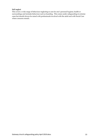#### **Self neglect**

This covers a wide range of behaviour neglecting to care for one's personal hygiene, health or surroundings and includes behaviour such as hoarding. This comes under safeguarding in extreme cases but should always be raised with professionals involved with the adult and with Social Care where concerns remain.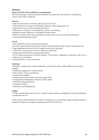#### **Signs of Possible Abuse (children & young people)**

The following signs could be indicators that abuse has taken place but should be considered in context of the child's whole life.

#### **Physical**

- Injuries not consistent with the explanation given for them
- Injuries that occur in places not normally exposed to falls, rough games, etc
- Injuries that have not received medical attention
- Reluctance to change for, or participate in, games or swimming
- Repeated urinary infections or unexplained tummy pains
- Bruises on babies, bites, burns, fractures etc which do not have an accidental explanation\*
- Cuts/scratches/substance abuse\*

#### **Sexual**

- Any allegations made concerning sexual abuse
- Excessive preoccupation with sexual matters and detailed knowledge of adult sexual behaviour
- Age-inappropriate sexual activity through words, play or drawing
- Child who is sexually provocative or seductive with adults
- Inappropriate bed-sharing arrangements at home

• Severe sleep disturbances with fears, phobias, vivid dreams or nightmares, sometimes with overt or veiled sexual connotations

• Eating disorders - anorexia, bulimia\*

#### **Emotional**

• Changes or regression in mood or behaviour, particularly where a child withdraws or becomes clinging.

- Depression, aggression, extreme anxiety.
- Nervousness, frozen watchfulness
- Obsessions or phobias
- Sudden under-achievement or lack of concentration
- Inappropriate relationships with peers and/or adults
- Attention-seeking behaviour
- Persistent tiredness
- Running away/stealing/lying

#### **Neglect**

• Under nourishment, failure to grow, constant hunger, stealing or gorging food, Untreated illnesses,

• Inadequate care, etc

\*These indicate the possibility that a child or young person is self-harming. Approximately 20,000 are treated in accident and emergency departments in the UK each year.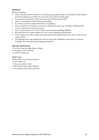Effective Listening

- Ensure the physical environment is welcoming, giving opportunity for the child or adult to talk in private but making sure others are aware the conversation is taking place.
- It is especially important to allow time and space for the person to talk
- Above everything else listen without interrupting
- Be attentive and look at them whilst they are speaking
- Show acceptance of what they say (however unlikely the story may sound) by reflecting back words or short phrases they have used
- Try to remain calm, even if on the inside you are feeling something different
- Be honest and don't make promises you can't keep regarding confidentiality
- If they decide not to tell you after all, accept their decision but let them know that you are always ready to listen.
- Use language that is age appropriate and, for those with disabilities, ensure there is someone available who understands sign language, Braille etc.

#### **HELPFUL RESPONSES**

- You have done the right thing in telling
- I am glad you have told me
- I will try to help you

#### **DON'T SAY**

- Why didn't you tell anyone before?
- I can't believe it!
- Are you sure this is true?
- Why? How? When? Who? Where?
- I am shocked, don't tell anyone else